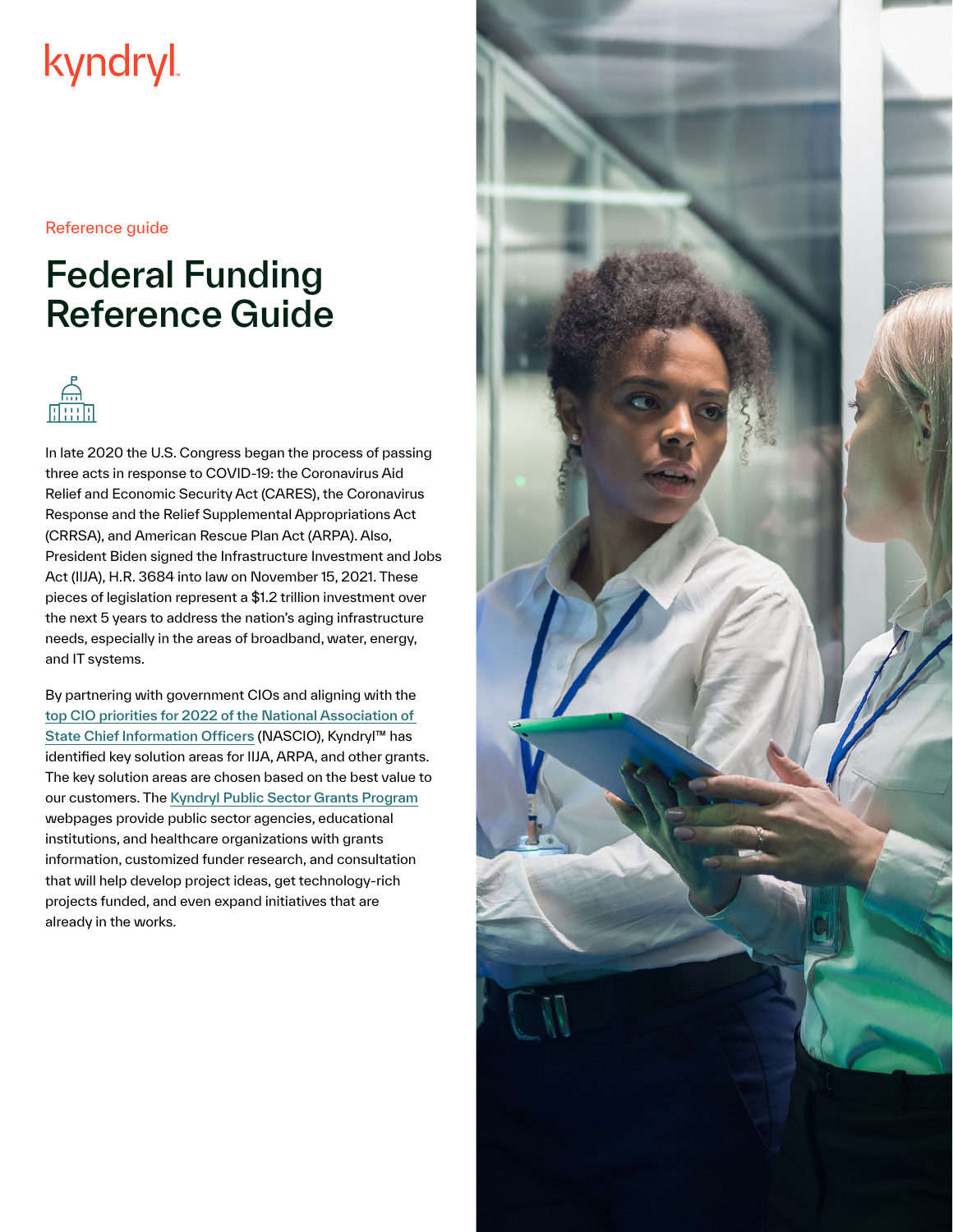# kyndryl

Reference guide

## Federal Funding Reference Guide



In late 2020 the U.S. Congress began the process of passing three acts in response to COVID-19: the Coronavirus Aid Relief and Economic Security Act (CARES), the Coronavirus Response and the Relief Supplemental Appropriations Act (CRRSA), and American Rescue Plan Act (ARPA). Also, President Biden signed the Infrastructure Investment and Jobs Act (IIJA), H.R. 3684 into law on November 15, 2021. These pieces of legislation represent a \$1.2 trillion investment over the next 5 years to address the nation's aging infrastructure needs, especially in the areas of broadband, water, energy, and IT systems.

By partnering with government CIOs and aligning with the [top CIO priorities for 2022 of the National Association of](https://www.nascio.org/wp-content/uploads/2021/12/NASCIO_CIOTopTenPriorities2022.pdf)  [State Chief Information Officers](https://www.nascio.org/wp-content/uploads/2021/12/NASCIO_CIOTopTenPriorities2022.pdf) (NASCIO), Kyndryl™ has identified key solution areas for IIJA, ARPA, and other grants. The key solution areas are chosen based on the best value to our customers. The [Kyndryl Public Sector Grants Program](https://www.kyndryl.com/us/en/industries/grants) webpages provide public sector agencies, educational institutions, and healthcare organizations with grants information, customized funder research, and consultation that will help develop project ideas, get technology-rich projects funded, and even expand initiatives that are already in the works.

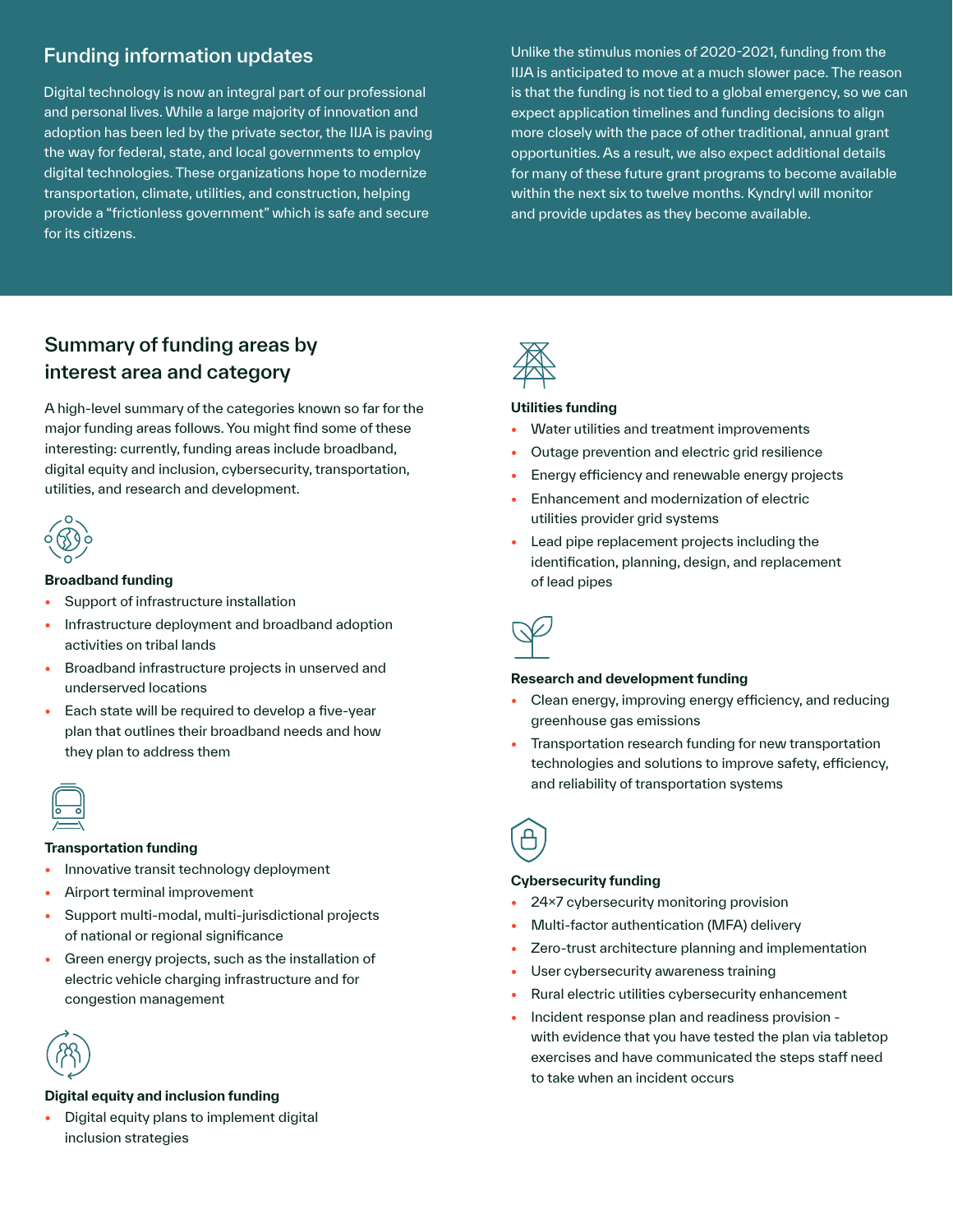### Funding information updates

Digital technology is now an integral part of our professional and personal lives. While a large majority of innovation and adoption has been led by the private sector, the IIJA is paving the way for federal, state, and local governments to employ digital technologies. These organizations hope to modernize transportation, climate, utilities, and construction, helping provide a "frictionless government" which is safe and secure for its citizens.

Unlike the stimulus monies of 2020-2021, funding from the IIJA is anticipated to move at a much slower pace. The reason is that the funding is not tied to a global emergency, so we can expect application timelines and funding decisions to align more closely with the pace of other traditional, annual grant opportunities. As a result, we also expect additional details for many of these future grant programs to become available within the next six to twelve months. Kyndryl will monitor and provide updates as they become available.

## Summary of funding areas by interest area and category

A high-level summary of the categories known so far for the major funding areas follows. You might find some of these interesting: currently, funding areas include broadband, digital equity and inclusion, cybersecurity, transportation, utilities, and research and development.



#### **Broadband funding**

- **•** Support of infrastructure installation
- **•** Infrastructure deployment and broadband adoption activities on tribal lands
- **•** Broadband infrastructure projects in unserved and underserved locations
- **•** Each state will be required to develop a five-year plan that outlines their broadband needs and how they plan to address them



#### **Transportation funding**

- **•** Innovative transit technology deployment
- **•** Airport terminal improvement
- **•** Support multi-modal, multi-jurisdictional projects of national or regional significance
- **•** Green energy projects, such as the installation of electric vehicle charging infrastructure and for congestion management



#### **Digital equity and inclusion funding**

**•** Digital equity plans to implement digital inclusion strategies



#### **Utilities funding**

- **•** Water utilities and treatment improvements
- **•** Outage prevention and electric grid resilience
- **•** Energy efficiency and renewable energy projects
- **•** Enhancement and modernization of electric utilities provider grid systems
- **•** Lead pipe replacement projects including the identification, planning, design, and replacement of lead pipes



#### **Research and development funding**

- **•** Clean energy, improving energy efficiency, and reducing greenhouse gas emissions
- **•** Transportation research funding for new transportation technologies and solutions to improve safety, efficiency, and reliability of transportation systems



#### **Cybersecurity funding**

- **•** 24x7 cybersecurity monitoring provision
- **•** Multi-factor authentication (MFA) delivery
- **•** Zero-trust architecture planning and implementation
- **•** User cybersecurity awareness training
- **•** Rural electric utilities cybersecurity enhancement
- **•** Incident response plan and readiness provision with evidence that you have tested the plan via tabletop exercises and have communicated the steps staff need to take when an incident occurs